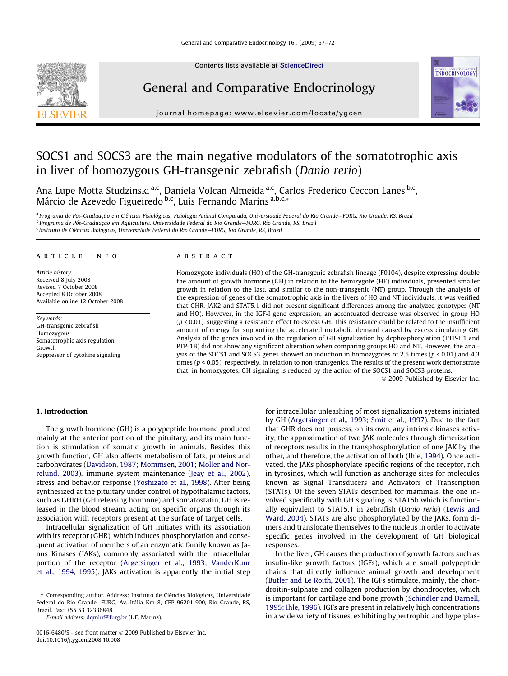

Contents lists available at [ScienceDirect](http://www.sciencedirect.com/science/journal/00166480)

## General and Comparative Endocrinology



journal homepage: [www.elsevier.com/locate/ygcen](http://www.elsevier.com/locate/ygcen)

# SOCS1 and SOCS3 are the main negative modulators of the somatotrophic axis in liver of homozygous GH-transgenic zebrafish (Danio rerio)

Ana Lupe Motta Studzinski a,c, Daniela Volcan Almeida a,c, Carlos Frederico Ceccon Lanes b,c, Márcio de Azevedo Figueiredo  $b,c$ , Luis Fernando Marins  $a,b,c,*$ 

a Programa de Pós-Graduação em Ciências Fisiológicas: Fisiologia Animal Comparada, Universidade Federal do Rio Grande–FURG, Rio Grande, RS, Brazil <sup>b</sup> Programa de Pós-Graduação em Aqüicultura, Universidade Federal do Rio Grande—FURG, Rio Grande, RS, Brazil <sup>c</sup> Instituto de Ciências Biológicas, Universidade Federal do Rio Grande—FURG, Rio Grande, RS, Brazil

## article info

Article history: Received 8 July 2008 Revised 7 October 2008 Accepted 8 October 2008 Available online 12 October 2008

Keywords: GH-transgenic zebrafish Homozygous Somatotrophic axis regulation Growth Suppressor of cytokine signaling

## **ABSTRACT**

Homozygote individuals (HO) of the GH-transgenic zebrafish lineage (F0104), despite expressing double the amount of growth hormone (GH) in relation to the hemizygote (HE) individuals, presented smaller growth in relation to the last, and similar to the non-transgenic (NT) group. Through the analysis of the expression of genes of the somatotrophic axis in the livers of HO and NT individuals, it was verified that GHR, JAK2 and STAT5.1 did not present significant differences among the analyzed genotypes (NT and HO). However, in the IGF-I gene expression, an accentuated decrease was observed in group HO (p < 0.01), suggesting a resistance effect to excess GH. This resistance could be related to the insufficient amount of energy for supporting the accelerated metabolic demand caused by excess circulating GH. Analysis of the genes involved in the regulation of GH signalization by dephosphorylation (PTP-H1 and PTP-1B) did not show any significant alteration when comparing groups HO and NT. However, the analysis of the SOCS1 and SOCS3 genes showed an induction in homozygotes of 2.5 times (p < 0.01) and 4.3 times ( $p < 0.05$ ), respectively, in relation to non-transgenics. The results of the present work demonstrate that, in homozygotes, GH signaling is reduced by the action of the SOCS1 and SOCS3 proteins.

© 2009 Published by Elsevier Inc.

## 1. Introduction

The growth hormone (GH) is a polypeptide hormone produced mainly at the anterior portion of the pituitary, and its main function is stimulation of somatic growth in animals. Besides this growth function, GH also affects metabolism of fats, proteins and carbohydrates [\(Davidson, 1987; Mommsen, 2001; Moller and Nor](#page-5-0)[relund, 2003](#page-5-0)), immune system maintenance ([Jeay et al., 2002\)](#page-5-0), stress and behavior response [\(Yoshizato et al., 1998\)](#page-5-0). After being synthesized at the pituitary under control of hypothalamic factors, such as GHRH (GH releasing hormone) and somatostatin, GH is released in the blood stream, acting on specific organs through its association with receptors present at the surface of target cells.

Intracellular signalization of GH initiates with its association with its receptor (GHR), which induces phosphorylation and consequent activation of members of an enzymatic family known as Janus Kinases (JAKs), commonly associated with the intracellular portion of the receptor ([Argetsinger et al., 1993; VanderKuur](#page-4-0) [et al., 1994, 1995](#page-4-0)). JAKs activation is apparently the initial step

\* Corresponding author. Address: Instituto de Ciências Biológicas, Universidade Federal do Rio Grande—FURG, Av. Itália Km 8, CEP 96201-900, Rio Grande, RS, Brazil. Fax: +55 53 32336848.

for intracellular unleashing of most signalization systems initiated by GH [\(Argetsinger et al., 1993; Smit et al., 1997\)](#page-4-0). Due to the fact that GHR does not possess, on its own, any intrinsic kinases activity, the approximation of two JAK molecules through dimerization of receptors results in the transphosphorylation of one JAK by the other, and therefore, the activation of both [\(Ihle, 1994\)](#page-5-0). Once activated, the JAKs phosphorylate specific regions of the receptor, rich in tyrosines, which will function as anchorage sites for molecules known as Signal Transducers and Activators of Transcription (STATs). Of the seven STATs described for mammals, the one involved specifically with GH signaling is STAT5b which is functionally equivalent to STAT5.1 in zebrafish (Danio rerio) [\(Lewis and](#page-5-0) [Ward, 2004\)](#page-5-0). STATs are also phosphorylated by the JAKs, form dimers and translocate themselves to the nucleus in order to activate specific genes involved in the development of GH biological responses.

In the liver, GH causes the production of growth factors such as insulin-like growth factors (IGFs), which are small polypeptide chains that directly influence animal growth and development ([Butler and Le Roith, 2001\)](#page-4-0). The IGFs stimulate, mainly, the chondroitin-sulphate and collagen production by chondrocytes, which is important for cartilage and bone growth ([Schindler and Darnell,](#page-5-0) [1995; Ihle, 1996](#page-5-0)). IGFs are present in relatively high concentrations in a wide variety of tissues, exhibiting hypertrophic and hyperplas-

E-mail address: [dqmluf@furg.br](mailto:dqmluf@furg.br) (L.F. Marins).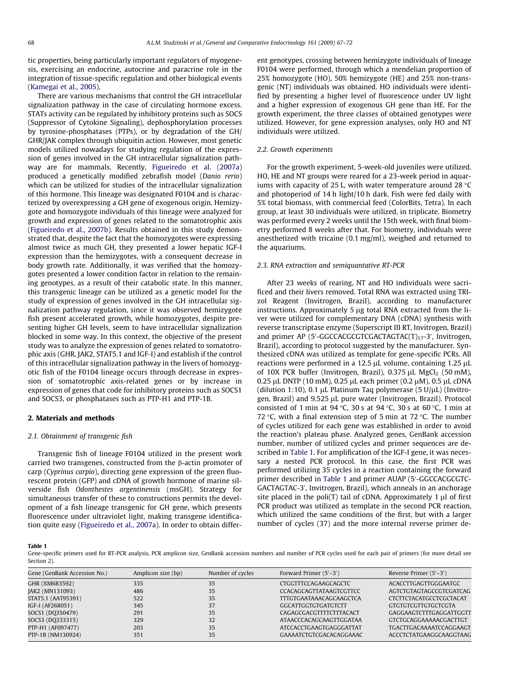<span id="page-1-0"></span>tic properties, being particularly important regulators of myogenesis, exercising an endocrine, autocrine and paracrine role in the integration of tissue-specific regulation and other biological events ([Kamegai et al., 2005\)](#page-5-0).

There are various mechanisms that control the GH intracellular signalization pathway in the case of circulating hormone excess. STATs activity can be regulated by inhibitory proteins such as SOCS (Suppressor of Cytokine Signaling), dephosphorylation processes by tyrosine-phosphatases (PTPs), or by degradation of the GH/ GHR/JAK complex through ubiquitin action. However, most genetic models utilized nowadays for studying regulation of the expression of genes involved in the GH intracellular signalization pathway are for mammals. Recently, [Figueiredo et al. \(2007a\)](#page-5-0) produced a genetically modified zebrafish model (Danio rerio) which can be utilized for studies of the intracellular signalization of this hormone. This lineage was designated F0104 and is characterized by overexpressing a GH gene of exogenous origin. Hemizygote and homozygote individuals of this lineage were analyzed for growth and expression of genes related to the somatotrophic axis ([Figueiredo et al., 2007b\)](#page-5-0). Results obtained in this study demonstrated that, despite the fact that the homozygotes were expressing almost twice as much GH, they presented a lower hepatic IGF-I expression than the hemizygotes, with a consequent decrease in body growth rate. Additionally, it was verified that the homozygotes presented a lower condition factor in relation to the remaining genotypes, as a result of their catabolic state. In this manner, this transgenic lineage can be utilized as a genetic model for the study of expression of genes involved in the GH intracellular signalization pathway regulation, since it was observed hemizygote fish present accelerated growth, while homozygotes, despite presenting higher GH levels, seem to have intracellular signalization blocked in some way. In this context, the objective of the present study was to analyze the expression of genes related to somatotrophic axis (GHR, JAK2, STAT5.1 and IGF-I) and establish if the control of this intracellular signalization pathway in the livers of homozygotic fish of the F0104 lineage occurs through decrease in expression of somatotrophic axis-related genes or by increase in expression of genes that code for inhibitory proteins such as SOCS1 and SOCS3, or phosphatases such as PTP-H1 and PTP-1B.

## 2. Materials and methods

#### 2.1. Obtainment of transgenic fish

Transgenic fish of lineage F0104 utilized in the present work carried two transgenes, constructed from the  $\beta$ -actin promoter of carp (Cyprinus carpio), directing gene expression of the green fluorescent protein (GFP) and cDNA of growth hormone of marine silverside fish Odonthestes argentinensis (msGH). Strategy for simultaneous transfer of these to constructions permits the development of a fish lineage transgenic for GH gene, which presents fluorescence under ultraviolet light, making transgene identification quite easy ([Figueiredo et al., 2007a\)](#page-5-0). In order to obtain different genotypes, crossing between hemizygote individuals of lineage F0104 were performed, through which a mendelian proportion of 25% homozygote (HO), 50% hemizygote (HE) and 25% non-transgenic (NT) individuals was obtained. HO individuals were identified by presenting a higher level of fluorescence under UV light and a higher expression of exogenous GH gene than HE. For the growth experiment, the three classes of obtained genotypes were utilized. However, for gene expression analyses, only HO and NT individuals were utilized.

## 2.2. Growth experiments

For the growth experiment, 5-week-old juveniles were utilized. HO, HE and NT groups were reared for a 23-week period in aquariums with capacity of 25 L, with water temperature around 28  $\degree$ C and photoperiod of 14 h light/10 h dark. Fish were fed daily with 5% total biomass, with commercial feed (ColorBits, Tetra). In each group, at least 30 individuals were utilized, in triplicate. Biometry was performed every 2 weeks until the 15th week, with final biometry performed 8 weeks after that. For biometry, individuals were anesthetized with tricaine (0.1 mg/ml), weighed and returned to the aquariums.

#### 2.3. RNA extraction and semiquantative RT-PCR

After 23 weeks of rearing, NT and HO individuals were sacrificed and their livers removed. Total RNA was extracted using TRIzol Reagent (Invitrogen, Brazil), according to manufacturer instructions. Approximately 5 µg total RNA extracted from the liver were utilized for complementary DNA (cDNA) synthesis with reverse transcriptase enzyme (Superscript III RT, Invitrogen, Brazil) and primer AP (5'-GGCCACGCGTCGACTAGTAC(T)<sub>17</sub>-3', Invitrogen, Brazil), according to protocol suggested by the manufacturer. Synthesized cDNA was utilized as template for gene-specific PCRs. All reactions were performed in a 12.5  $\mu$ L volume, containing 1.25  $\mu$ L of 10X PCR buffer (Invitrogen, Brazil),  $0.375 \mu L$  MgCl<sub>2</sub> (50 mM),  $0.25$  µL DNTP (10 mM),  $0.25$  µL each primer (0.2 µM),  $0.5$  µL cDNA (dilution 1:10), 0.1 µL Platinum Taq polymerase (5 U/µL) (Invitrogen, Brazil) and 9.525 µL pure water (Invitrogen, Brazil). Protocol consisted of 1 min at 94 °C, 30 s at 94 °C, 30 s at 60 °C, 1 min at 72 °C, with a final extension step of 5 min at 72 °C. The number of cycles utilized for each gene was established in order to avoid the reaction's plateau phase. Analyzed genes, GenBank accession number, number of utilized cycles and primer sequences are described in Table 1. For amplification of the IGF-I gene, it was necessary a nested PCR protocol. In this case, the first PCR was performed utilizing 35 cycles in a reaction containing the forward primer described in Table 1 and primer AUAP (5'-GGCCACGCGTC-GACTAGTAC-3', Invitrogen, Brazil), which anneals in an anchorage site placed in the poli(T) tail of cDNA. Approximately 1  $\mu$ l of first PCR product was utilized as template in the second PCR reaction, which utilized the same conditions of the first, but with a larger number of cycles (37) and the more internal reverse primer de-

#### Table 1

Gene-specific primers used for RT-PCR analysis, PCR amplicon size, GenBank accession numbers and number of PCR cycles used for each pair of primers (for more detail see Section 2).

| Gene (GenBank Accession No.) | Amplicon size (bp) | Number of cycles | Forward Primer (5'-3')  | Reverse Primer (5'-3')         |
|------------------------------|--------------------|------------------|-------------------------|--------------------------------|
| GHR (XM683592)               | 335                | 35               | CTGGTTTCCAGAAGCAGCTC    | ACACCTTGAGTTGGGAATGC           |
| [AK2 (MN131093)              | 486                | 35               | CCACAGCAGTTATAAGTCGTTCC | AGTCTGTAGTAGCCGTCGATCAG        |
| STAT5.1 (AAT95391)           | 522                | 35               | TTTGTGAATAAACAGCAAGCTCA | <b>CTCTTCTACATGCCTCGCTACAT</b> |
| IGF-I (AF268051)             | 345                | 37               | GGCATTGGTGTGATGTCTT     | <b>GTGTGTCGTTGTGCTCGTA</b>     |
| SOCS1 (DO350479)             | 291                | 35               | CAGAGCGACGTTTTCTTTACACT | GAGGAAGTCTTTGAGGATTGGTT        |
| SOCS3 (DQ333315)             | 329                | 32               | ATAACCCACAGCAAGTTGGATAA | <b>GTCTGCAGGAAAAACGACTTGT</b>  |
| PTP-H1 (AF097477)            | 203                | 35               | ATCCACCTGAAGTGAGGGATTAT | TGACTTGACAAAATCCAGGAAGT        |
| PTP-1B (NM130924)            | 351                | 35               | GAAAATCTGTCGACACAGGAAAC | ACCCTCTATGAAGGCAAGGTAAG        |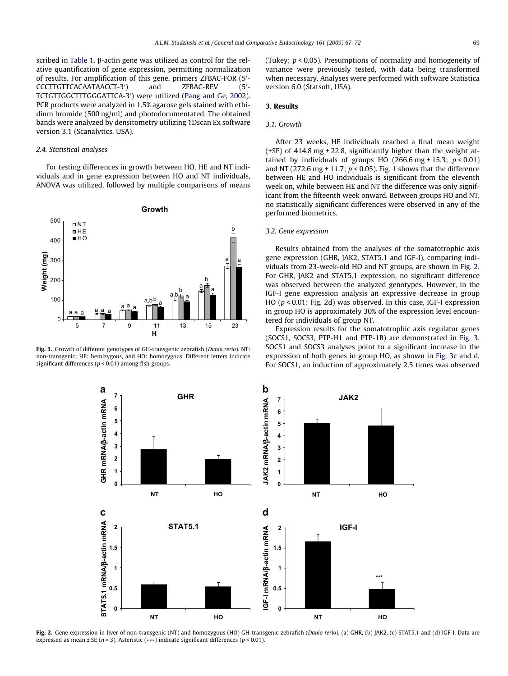scribed in [Table 1.](#page-1-0) b-actin gene was utilized as control for the relative quantification of gene expression, permitting normalization of results. For amplification of this gene, primers ZFBAC-FOR (5'-CCCTTGTTCACAATAACCT-3') and ZFBAC-REV  $(5' -$ TCTGTTGGCTTTGGGATTCA-3<sup>,</sup>) were utilized ([Pang and Ge, 2002\)](#page-5-0). PCR products were analyzed in 1.5% agarose gels stained with ethidium bromide (500 ng/ml) and photodocumentated. The obtained bands were analyzed by densitometry utilizing 1Dscan Ex software version 3.1 (Scanalytics, USA).

## 2.4. Statistical analyses

For testing differences in growth between HO, HE and NT individuals and in gene expression between HO and NT individuals, ANOVA was utilized, followed by multiple comparisons of means



Fig. 1. Growth of different genotypes of GH-transgenic zebrafish (Danio rerio). NT: non-transgenic; HE: hemizygous, and HO: homozygous. Different letters indicate significant differences ( $p < 0.01$ ) among fish groups.

(Tukey;  $p < 0.05$ ). Presumptions of normality and homogeneity of variance were previously tested, with data being transformed when necessary. Analyses were performed with software Statistica version 6.0 (Statsoft, USA).

#### 3. Results

## 3.1. Growth

After 23 weeks, HE individuals reached a final mean weight  $(\pm$ SE) of 414.8 mg  $\pm$  22.8, significantly higher than the weight attained by individuals of groups HO (266.6 mg  $\pm$  15.3; p < 0.01) and NT (272.6 mg  $\pm$  11.7;  $p$  < 0.05). Fig. 1 shows that the difference between HE and HO individuals is significant from the eleventh week on, while between HE and NT the difference was only significant from the fifteenth week onward. Between groups HO and NT, no statistically significant differences were observed in any of the performed biometrics.

## 3.2. Gene expression

Results obtained from the analyses of the somatotrophic axis gene expression (GHR, JAK2, STAT5.1 and IGF-I), comparing individuals from 23-week-old HO and NT groups, are shown in Fig. 2. For GHR, JAK2 and STAT5.1 expression, no significant difference was observed between the analyzed genotypes. However, in the IGF-I gene expression analysis an expressive decrease in group HO ( $p < 0.01$ ; Fig. 2d) was observed. In this case, IGF-I expression in group HO is approximately 30% of the expression level encountered for individuals of group NT.

Expression results for the somatotrophic axis regulator genes (SOCS1, SOCS3, PTP-H1 and PTP-1B) are demonstrated in [Fig. 3.](#page-3-0) SOCS1 and SOCS3 analyses point to a significant increase in the expression of both genes in group HO, as shown in [Fig. 3c](#page-3-0) and d. For SOCS1, an induction of approximately 2.5 times was observed



Fig. 2. Gene expression in liver of non-transgenic (NT) and homozygous (HO) GH-transgenic zebrafish (Danio rerio). (a) GHR, (b) JAK2, (c) STAT5.1 and (d) IGF-I. Data are expressed as mean  $\pm$  SE (n = 3). Asteristic (\*\*\*) indicate significant differences (p < 0.01).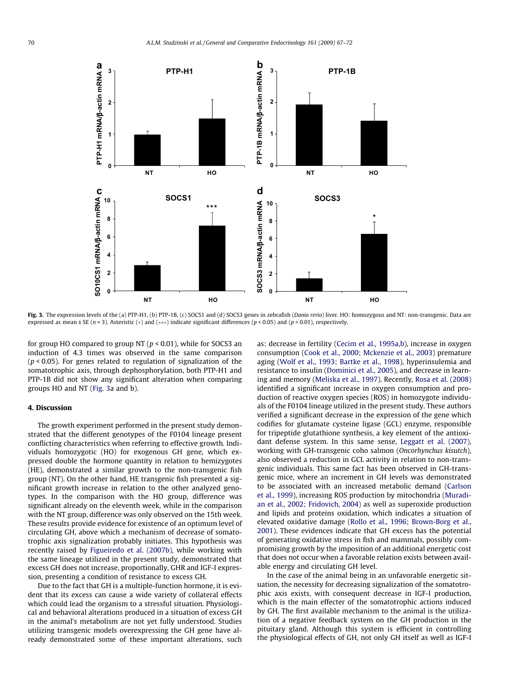<span id="page-3-0"></span>

Fig. 3. The expression levels of the (a) PTP-H1, (b) PTP-1B, (c) SOCS1 and (d) SOCS3 genes in zebrafish (Danio rerio) liver. HO: homozygous and NT: non-transgenic. Data are expressed as mean ± SE (n = 3). Asteristic (\*) and (\*\*\*) indicate significant differences (p < 0.05) and (p < 0.01), respectively.

for group HO compared to group NT ( $p$  < 0.01), while for SOCS3 an induction of 4.3 times was observed in the same comparison  $(p < 0.05)$ . For genes related to regulation of signalization of the somatotrophic axis, through dephosphorylation, both PTP-H1 and PTP-1B did not show any significant alteration when comparing groups HO and NT (Fig. 3a and b).

#### 4. Discussion

The growth experiment performed in the present study demonstrated that the different genotypes of the F0104 lineage present conflicting characteristics when referring to effective growth. Individuals homozygotic (HO) for exogenous GH gene, which expressed double the hormone quantity in relation to hemizygotes (HE), demonstrated a similar growth to the non-transgenic fish group (NT). On the other hand, HE transgenic fish presented a significant growth increase in relation to the other analyzed genotypes. In the comparison with the HO group, difference was significant already on the eleventh week, while in the comparison with the NT group, difference was only observed on the 15th week. These results provide evidence for existence of an optimum level of circulating GH, above which a mechanism of decrease of somatotrophic axis signalization probably initiates. This hypothesis was recently raised by [Figueiredo et al. \(2007b\),](#page-5-0) while working with the same lineage utilized in the present study, demonstrated that excess GH does not increase, proportionally, GHR and IGF-I expression, presenting a condition of resistance to excess GH.

Due to the fact that GH is a multiple-function hormone, it is evident that its excess can cause a wide variety of collateral effects which could lead the organism to a stressful situation. Physiological and behavioral alterations produced in a situation of excess GH in the animal's metabolism are not yet fully understood. Studies utilizing transgenic models overexpressing the GH gene have already demonstrated some of these important alterations, such as: decrease in fertility ([Cecim et al., 1995a,b](#page-4-0)), increase in oxygen consumption [\(Cook et al., 2000; Mckenzie et al., 2003](#page-5-0)) premature aging [\(Wolf et al., 1993; Bartke et al., 1998\)](#page-5-0), hyperinsulemia and resistance to insulin [\(Dominici et al., 2005\)](#page-5-0), and decrease in learning and memory ([Meliska et al., 1997](#page-5-0)). Recently, [Rosa et al. \(2008\)](#page-5-0) identified a significant increase in oxygen consumption and production of reactive oxygen species (ROS) in homozygote individuals of the F0104 lineage utilized in the present study. These authors verified a significant decrease in the expression of the gene which codifies for glutamate cysteine ligase (GCL) enzyme, responsible for tripeptide glutathione synthesis, a key element of the antioxidant defense system. In this same sense, [Leggatt et al. \(2007\),](#page-5-0) working with GH-transgenic coho salmon (Oncorhynchus kisutch), also observed a reduction in GCL activity in relation to non-transgenic individuals. This same fact has been observed in GH-transgenic mice, where an increment in GH levels was demonstrated to be associated with an increased metabolic demand ([Carlson](#page-4-0) [et al., 1999\)](#page-4-0), increasing ROS production by mitochondria ([Muradi](#page-5-0)[an et al., 2002; Fridovich, 2004](#page-5-0)) as well as superoxide production and lipids and proteins oxidation, which indicates a situation of elevated oxidative damage ([Rollo et al., 1996; Brown-Borg et al.,](#page-5-0) [2001\)](#page-5-0). These evidences indicate that GH excess has the potential of generating oxidative stress in fish and mammals, possibly compromising growth by the imposition of an additional energetic cost that does not occur when a favorable relation exists between available energy and circulating GH level.

In the case of the animal being in an unfavorable energetic situation, the necessity for decreasing signalization of the somatotrophic axis exists, with consequent decrease in IGF-I production, which is the main effecter of the somatotrophic actions induced by GH. The first available mechanism to the animal is the utilization of a negative feedback system on the GH production in the pituitary gland. Although this system is efficient in controlling the physiological effects of GH, not only GH itself as well as IGF-I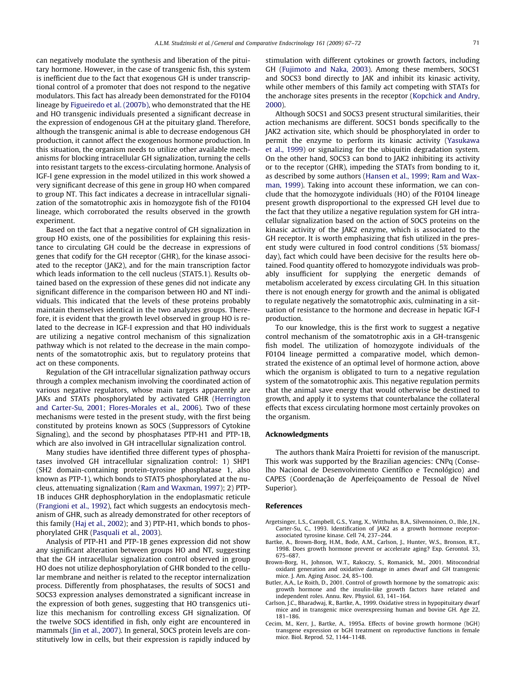<span id="page-4-0"></span>can negatively modulate the synthesis and liberation of the pituitary hormone. However, in the case of transgenic fish, this system is inefficient due to the fact that exogenous GH is under transcriptional control of a promoter that does not respond to the negative modulators. This fact has already been demonstrated for the F0104 lineage by [Figueiredo et al. \(2007b\)](#page-5-0), who demonstrated that the HE and HO transgenic individuals presented a significant decrease in the expression of endogenous GH at the pituitary gland. Therefore, although the transgenic animal is able to decrease endogenous GH production, it cannot affect the exogenous hormone production. In this situation, the organism needs to utilize other available mechanisms for blocking intracellular GH signalization, turning the cells into resistant targets to the excess-circulating hormone. Analysis of IGF-I gene expression in the model utilized in this work showed a very significant decrease of this gene in group HO when compared to group NT. This fact indicates a decrease in intracellular signalization of the somatotrophic axis in homozygote fish of the F0104 lineage, which corroborated the results observed in the growth experiment.

Based on the fact that a negative control of GH signalization in group HO exists, one of the possibilities for explaining this resistance to circulating GH could be the decrease in expressions of genes that codify for the GH receptor (GHR), for the kinase associated to the receptor (JAK2), and for the main transcription factor which leads information to the cell nucleus (STAT5.1). Results obtained based on the expression of these genes did not indicate any significant difference in the comparison between HO and NT individuals. This indicated that the levels of these proteins probably maintain themselves identical in the two analyzes groups. Therefore, it is evident that the growth level observed in group HO is related to the decrease in IGF-I expression and that HO individuals are utilizing a negative control mechanism of this signalization pathway which is not related to the decrease in the main components of the somatotrophic axis, but to regulatory proteins that act on these components.

Regulation of the GH intracellular signalization pathway occurs through a complex mechanism involving the coordinated action of various negative regulators, whose main targets apparently are JAKs and STATs phosphorylated by activated GHR [\(Herrington](#page-5-0) [and Carter-Su, 2001; Flores-Morales et al., 2006\)](#page-5-0). Two of these mechanisms were tested in the present study, with the first being constituted by proteins known as SOCS (Suppressors of Cytokine Signaling), and the second by phosphatases PTP-H1 and PTP-1B, which are also involved in GH intracellular signalization control.

Many studies have identified three different types of phosphatases involved GH intracellular signalization control: 1) SHP1 (SH2 domain-containing protein-tyrosine phosphatase 1, also known as PTP-1), which bonds to STAT5 phosphorylated at the nucleus, attenuating signalization [\(Ram and Waxman, 1997](#page-5-0)); 2) PTP-1B induces GHR dephosphorylation in the endoplasmatic reticule ([Frangioni et al., 1992\)](#page-5-0), fact which suggests an endocytosis mechanism of GHR, such as already demonstrated for other receptors of this family [\(Haj et al., 2002\)](#page-5-0); and 3) PTP-H1, which bonds to phosphorylated GHR ([Pasquali et al., 2003](#page-5-0)).

Analysis of PTP-H1 and PTP-1B genes expression did not show any significant alteration between groups HO and NT, suggesting that the GH intracellular signalization control observed in group HO does not utilize dephosphorylation of GHR bonded to the cellular membrane and neither is related to the receptor internalization process. Differently from phosphatases, the results of SOCS1 and SOCS3 expression analyses demonstrated a significant increase in the expression of both genes, suggesting that HO transgenics utilize this mechanism for controlling excess GH signalization. Of the twelve SOCS identified in fish, only eight are encountered in mammals [\(Jin et al., 2007\)](#page-5-0). In general, SOCS protein levels are constitutively low in cells, but their expression is rapidly induced by stimulation with different cytokines or growth factors, including GH ([Fujimoto and Naka, 2003\)](#page-5-0). Among these members, SOCS1 and SOCS3 bond directly to JAK and inhibit its kinasic activity, while other members of this family act competing with STATs for the anchorage sites presents in the receptor [\(Kopchick and Andry,](#page-5-0) [2000](#page-5-0)).

Although SOCS1 and SOCS3 present structural similarities, their action mechanisms are different. SOCS1 bonds specifically to the JAK2 activation site, which should be phosphorylated in order to permit the enzyme to perform its kinasic activity ([Yasukawa](#page-5-0) [et al., 1999](#page-5-0)) or signalizing for the ubiquitin degradation system. On the other hand, SOCS3 can bond to JAK2 inhibiting its activity or to the receptor (GHR), impeding the STATs from bonding to it, as described by some authors ([Hansen et al., 1999; Ram and Wax](#page-5-0)[man, 1999\)](#page-5-0). Taking into account these information, we can conclude that the homozygote individuals (HO) of the F0104 lineage present growth disproportional to the expressed GH level due to the fact that they utilize a negative regulation system for GH intracellular signalization based on the action of SOCS proteins on the kinasic activity of the JAK2 enzyme, which is associated to the GH receptor. It is worth emphasizing that fish utilized in the present study were cultured in food control conditions (5% biomass/ day), fact which could have been decisive for the results here obtained. Food quantity offered to homozygote individuals was probably insufficient for supplying the energetic demands metabolism accelerated by excess circulating GH. In this situation there is not enough energy for growth and the animal is obligated to regulate negatively the somatotrophic axis, culminating in a situation of resistance to the hormone and decrease in hepatic IGF-I production.

To our knowledge, this is the first work to suggest a negative control mechanism of the somatotrophic axis in a GH-transgenic fish model. The utilization of homozygote individuals of the F0104 lineage permitted a comparative model, which demonstrated the existence of an optimal level of hormone action, above which the organism is obligated to turn to a negative regulation system of the somatotrophic axis. This negative regulation permits that the animal save energy that would otherwise be destined to growth, and apply it to systems that counterbalance the collateral effects that excess circulating hormone most certainly provokes on the organism.

#### Acknowledgments

The authors thank Maíra Proietti for revision of the manuscript. This work was supported by the Brazilian agencies: CNPq (Conselho Nacional de Desenvolvimento Científico e Tecnológico) and CAPES (Coordenação de Aperfeiçoamento de Pessoal de Nível Superior).

## References

- Argetsinger, L.S., Campbell, G.S., Yang, X., Witthuhn, B.A., Silvennoinen, O., Ihle, J.N., Carter-Su, C., 1993. Identification of JAK2 as a growth hormone receptorassociated tyrosine kinase. Cell 74, 237–244.
- Bartke, A., Brown-Borg, H.M., Bode, A.M., Carlson, J., Hunter, W.S., Bronson, R.T., 1998. Does growth hormone prevent or accelerate aging? Exp. Gerontol. 33, 675–687.
- Brown-Borg, H., Johnson, W.T., Rakoczy, S., Romanick, M., 2001. Mitocondrial oxidant generation and oxidative damage in ames dwarf and GH transgenic mice. J. Am. Aging Assoc. 24, 85–100.
- Butler, A.A., Le Roith, D., 2001. Control of growth hormone by the somatropic axis: growth hormone and the insulin-like growth factors have related and independent roles. Annu. Rev. Physiol. 63, 141–164.
- Carlson, J.C., Bharadwaj, R., Bartke, A., 1999. Oxidative stress in hypopituitary dwarf mice and in transgenic mice overexpressing human and bovine GH. Age 22, 181–186.
- Cecim, M., Kerr, J., Bartke, A., 1995a. Effects of bovine growth hormone (bGH) transgene expression or bGH treatment on reproductive functions in female mice. Biol. Reprod. 52, 1144–1148.